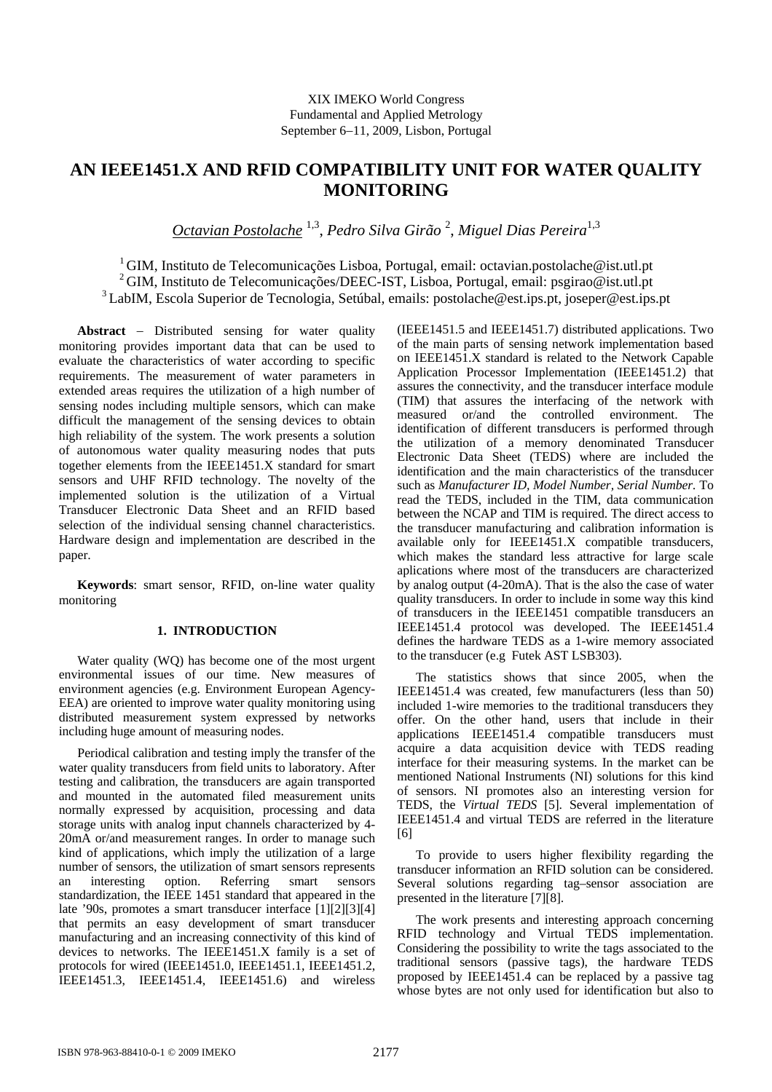# **AN IEEE1451.X AND RFID COMPATIBILITY UNIT FOR WATER QUALITY MONITORING**

*Octavian Postolache* 1,3, *Pedro Silva Girão* <sup>2</sup> , *Miguel Dias Pereira*1,3

<sup>1</sup> GIM, Instituto de Telecomunicações Lisboa, Portugal, email: octavian.postolache@ist.utl.pt 2 GIM, Instituto de Telecomunicações/DEEC-IST, Lisboa, Portugal, email: psgirao@ist.utl.pt 3 LabIM, Escola Superior de Tecnologia, Setúbal, emails: postolache@est.ips.pt, joseper@est.ips.pt

**Abstract** − Distributed sensing for water quality monitoring provides important data that can be used to evaluate the characteristics of water according to specific requirements. The measurement of water parameters in extended areas requires the utilization of a high number of sensing nodes including multiple sensors, which can make difficult the management of the sensing devices to obtain high reliability of the system. The work presents a solution of autonomous water quality measuring nodes that puts together elements from the IEEE1451.X standard for smart sensors and UHF RFID technology. The novelty of the implemented solution is the utilization of a Virtual Transducer Electronic Data Sheet and an RFID based selection of the individual sensing channel characteristics. Hardware design and implementation are described in the paper.

**Keywords**: smart sensor, RFID, on-line water quality monitoring

# **1. INTRODUCTION**

Water quality (WQ) has become one of the most urgent environmental issues of our time. New measures of environment agencies (e.g. Environment European Agency-EEA) are oriented to improve water quality monitoring using distributed measurement system expressed by networks including huge amount of measuring nodes.

Periodical calibration and testing imply the transfer of the water quality transducers from field units to laboratory. After testing and calibration, the transducers are again transported and mounted in the automated filed measurement units normally expressed by acquisition, processing and data storage units with analog input channels characterized by 4- 20mA or/and measurement ranges. In order to manage such kind of applications, which imply the utilization of a large number of sensors, the utilization of smart sensors represents an interesting option. Referring smart sensors standardization, the IEEE 1451 standard that appeared in the late '90s, promotes a smart transducer interface [1][2][3][4] that permits an easy development of smart transducer manufacturing and an increasing connectivity of this kind of devices to networks. The IEEE1451.X family is a set of protocols for wired (IEEE1451.0, IEEE1451.1, IEEE1451.2, IEEE1451.3, IEEE1451.4, IEEE1451.6) and wireless

(IEEE1451.5 and IEEE1451.7) distributed applications. Two of the main parts of sensing network implementation based on IEEE1451.X standard is related to the Network Capable Application Processor Implementation (IEEE1451.2) that assures the connectivity, and the transducer interface module (TIM) that assures the interfacing of the network with measured or/and the controlled environment. The identification of different transducers is performed through the utilization of a memory denominated Transducer Electronic Data Sheet (TEDS) where are included the identification and the main characteristics of the transducer such as *Manufacturer ID, Model Number, Serial Number.* To read the TEDS, included in the TIM, data communication between the NCAP and TIM is required. The direct access to the transducer manufacturing and calibration information is available only for IEEE1451.X compatible transducers, which makes the standard less attractive for large scale aplications where most of the transducers are characterized by analog output (4-20mA). That is the also the case of water quality transducers. In order to include in some way this kind of transducers in the IEEE1451 compatible transducers an IEEE1451.4 protocol was developed. The IEEE1451.4 defines the hardware TEDS as a 1-wire memory associated to the transducer (e.g Futek AST LSB303).

The statistics shows that since 2005, when the IEEE1451.4 was created, few manufacturers (less than 50) included 1-wire memories to the traditional transducers they offer. On the other hand, users that include in their applications IEEE1451.4 compatible transducers must acquire a data acquisition device with TEDS reading interface for their measuring systems. In the market can be mentioned National Instruments (NI) solutions for this kind of sensors. NI promotes also an interesting version for TEDS, the *Virtual TEDS* [5]. Several implementation of IEEE1451.4 and virtual TEDS are referred in the literature [6]

To provide to users higher flexibility regarding the transducer information an RFID solution can be considered. Several solutions regarding tag–sensor association are presented in the literature [7][8].

The work presents and interesting approach concerning RFID technology and Virtual TEDS implementation. Considering the possibility to write the tags associated to the traditional sensors (passive tags), the hardware TEDS proposed by IEEE1451.4 can be replaced by a passive tag whose bytes are not only used for identification but also to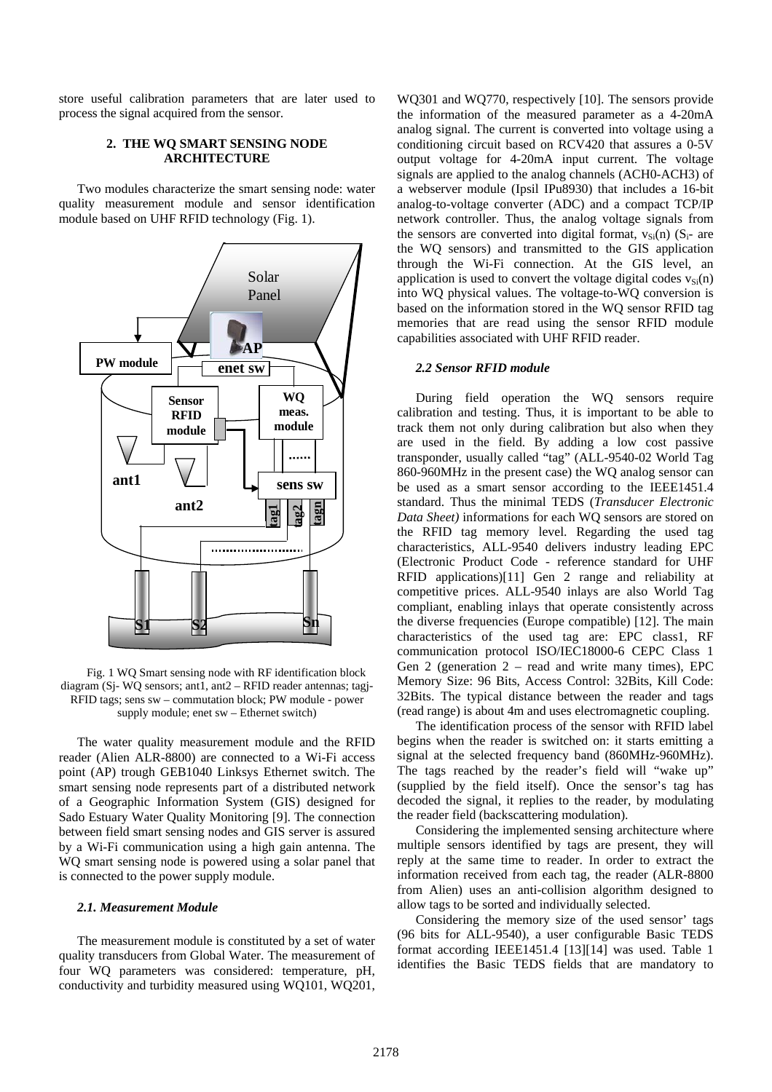store useful calibration parameters that are later used to process the signal acquired from the sensor.

# **2. THE WQ SMART SENSING NODE ARCHITECTURE**

Two modules characterize the smart sensing node: water quality measurement module and sensor identification module based on UHF RFID technology (Fig. 1).



Fig. 1 WQ Smart sensing node with RF identification block diagram (Sj- WQ sensors; ant1, ant2 – RFID reader antennas; tagj-RFID tags; sens sw – commutation block; PW module - power supply module; enet sw – Ethernet switch)

The water quality measurement module and the RFID reader (Alien ALR-8800) are connected to a Wi-Fi access point (AP) trough GEB1040 Linksys Ethernet switch. The smart sensing node represents part of a distributed network of a Geographic Information System (GIS) designed for Sado Estuary Water Quality Monitoring [9]. The connection between field smart sensing nodes and GIS server is assured by a Wi-Fi communication using a high gain antenna. The WQ smart sensing node is powered using a solar panel that is connected to the power supply module.

# *2.1. Measurement Module*

The measurement module is constituted by a set of water quality transducers from Global Water. The measurement of four WQ parameters was considered: temperature, pH, conductivity and turbidity measured using WQ101, WQ201, WQ301 and WQ770, respectively [10]. The sensors provide the information of the measured parameter as a 4-20mA analog signal. The current is converted into voltage using a conditioning circuit based on RCV420 that assures a 0-5V output voltage for 4-20mA input current. The voltage signals are applied to the analog channels (ACH0-ACH3) of a webserver module (Ipsil IPu8930) that includes a 16-bit analog-to-voltage converter (ADC) and a compact TCP/IP network controller. Thus, the analog voltage signals from the sensors are converted into digital format,  $v_{Si}(n)$  (S<sub>i</sub>- are the WQ sensors) and transmitted to the GIS application through the Wi-Fi connection. At the GIS level, an application is used to convert the voltage digital codes  $v_{\rm Si}(n)$ into WQ physical values. The voltage-to-WQ conversion is based on the information stored in the WQ sensor RFID tag memories that are read using the sensor RFID module capabilities associated with UHF RFID reader.

### *2.2 Sensor RFID module*

During field operation the WQ sensors require calibration and testing. Thus, it is important to be able to track them not only during calibration but also when they are used in the field. By adding a low cost passive transponder, usually called "tag" (ALL-9540-02 World Tag 860-960MHz in the present case) the WQ analog sensor can be used as a smart sensor according to the IEEE1451.4 standard. Thus the minimal TEDS (*Transducer Electronic Data Sheet)* informations for each WQ sensors are stored on the RFID tag memory level. Regarding the used tag characteristics, ALL-9540 delivers industry leading EPC (Electronic Product Code - reference standard for UHF RFID applications)[11] Gen 2 range and reliability at competitive prices. ALL-9540 inlays are also World Tag compliant, enabling inlays that operate consistently across the diverse frequencies (Europe compatible) [12]. The main characteristics of the used tag are: EPC class1, RF communication protocol ISO/IEC18000-6 CEPC Class 1 Gen 2 (generation  $2 - read$  and write many times), EPC Memory Size: 96 Bits, Access Control: 32Bits, Kill Code: 32Bits. The typical distance between the reader and tags (read range) is about 4m and uses electromagnetic coupling.

The identification process of the sensor with RFID label begins when the reader is switched on: it starts emitting a signal at the selected frequency band (860MHz-960MHz). The tags reached by the reader's field will "wake up" (supplied by the field itself). Once the sensor's tag has decoded the signal, it replies to the reader, by modulating the reader field (backscattering modulation).

Considering the implemented sensing architecture where multiple sensors identified by tags are present, they will reply at the same time to reader. In order to extract the information received from each tag, the reader (ALR-8800 from Alien) uses an anti-collision algorithm designed to allow tags to be sorted and individually selected.

Considering the memory size of the used sensor' tags (96 bits for ALL-9540), a user configurable Basic TEDS format according IEEE1451.4 [13][14] was used. Table 1 identifies the Basic TEDS fields that are mandatory to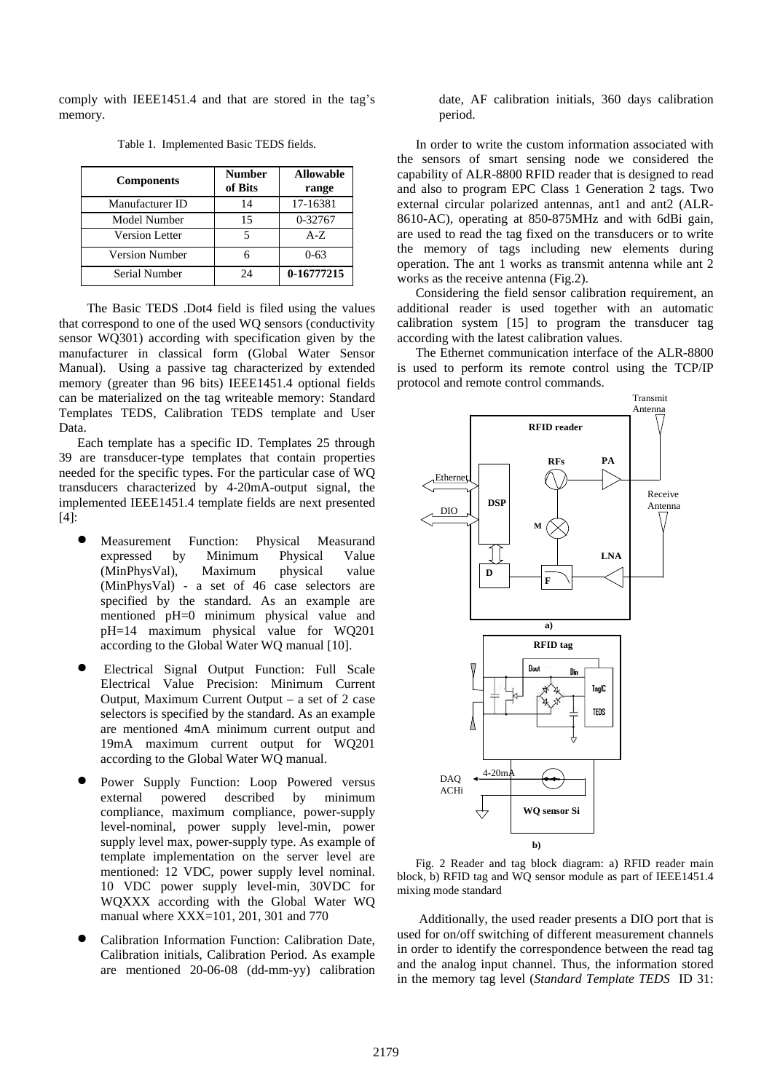comply with IEEE1451.4 and that are stored in the tag's memory.

| <b>Components</b>     | <b>Number</b><br>of Bits | <b>Allowable</b><br>range |
|-----------------------|--------------------------|---------------------------|
| Manufacturer ID       | 14                       | 17-16381                  |
| Model Number          | 15                       | 0-32767                   |
| <b>Version Letter</b> |                          | $A - Z$                   |
| <b>Version Number</b> |                          | $0 - 63$                  |
| Serial Number         | 24                       | 0-16777215                |

Table 1. Implemented Basic TEDS fields.

 The Basic TEDS .Dot4 field is filed using the values that correspond to one of the used WQ sensors (conductivity sensor WQ301) according with specification given by the manufacturer in classical form (Global Water Sensor Manual). Using a passive tag characterized by extended memory (greater than 96 bits) IEEE1451.4 optional fields can be materialized on the tag writeable memory: Standard Templates TEDS, Calibration TEDS template and User Data.

Each template has a specific ID. Templates 25 through 39 are transducer-type templates that contain properties needed for the specific types. For the particular case of WQ transducers characterized by 4-20mA-output signal, the implemented IEEE1451.4 template fields are next presented [4]:

- Measurement Function: Physical Measurand expressed by Minimum Physical Value (MinPhysVal), Maximum physical value (MinPhysVal) - a set of 46 case selectors are specified by the standard. As an example are mentioned pH=0 minimum physical value and pH=14 maximum physical value for WQ201 according to the Global Water WQ manual [10].
- Electrical Signal Output Function: Full Scale Electrical Value Precision: Minimum Current Output, Maximum Current Output – a set of 2 case selectors is specified by the standard. As an example are mentioned 4mA minimum current output and 19mA maximum current output for WQ201 according to the Global Water WQ manual.
- Power Supply Function: Loop Powered versus external powered described by minimum compliance, maximum compliance, power-supply level-nominal, power supply level-min, power supply level max, power-supply type. As example of template implementation on the server level are mentioned: 12 VDC, power supply level nominal. 10 VDC power supply level-min, 30VDC for WQXXX according with the Global Water WQ manual where XXX=101, 201, 301 and 770
- Calibration Information Function: Calibration Date, Calibration initials, Calibration Period. As example are mentioned 20-06-08 (dd-mm-yy) calibration

date, AF calibration initials, 360 days calibration period.

In order to write the custom information associated with the sensors of smart sensing node we considered the capability of ALR-8800 RFID reader that is designed to read and also to program EPC Class 1 Generation 2 tags. Two external circular polarized antennas, ant1 and ant2 (ALR-8610-AC), operating at 850-875MHz and with 6dBi gain, are used to read the tag fixed on the transducers or to write the memory of tags including new elements during operation. The ant 1 works as transmit antenna while ant 2 works as the receive antenna (Fig.2).

Considering the field sensor calibration requirement, an additional reader is used together with an automatic calibration system [15] to program the transducer tag according with the latest calibration values.

The Ethernet communication interface of the ALR-8800 is used to perform its remote control using the TCP/IP protocol and remote control commands.



Fig. 2 Reader and tag block diagram: a) RFID reader main block, b) RFID tag and WQ sensor module as part of IEEE1451.4 mixing mode standard

 Additionally, the used reader presents a DIO port that is used for on/off switching of different measurement channels in order to identify the correspondence between the read tag and the analog input channel. Thus, the information stored in the memory tag level (*Standard Template TEDS* ID 31: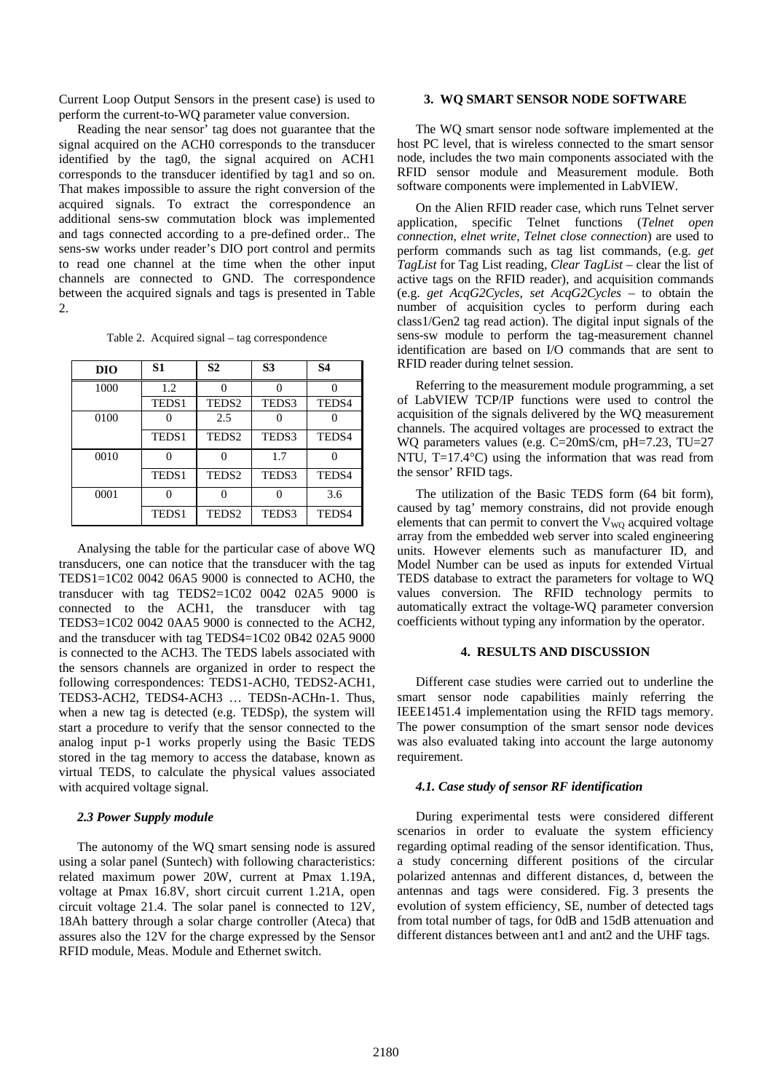Current Loop Output Sensors in the present case) is used to perform the current-to-WQ parameter value conversion.

Reading the near sensor' tag does not guarantee that the signal acquired on the ACH0 corresponds to the transducer identified by the tag0, the signal acquired on ACH1 corresponds to the transducer identified by tag1 and so on. That makes impossible to assure the right conversion of the acquired signals. To extract the correspondence an additional sens-sw commutation block was implemented and tags connected according to a pre-defined order.. The sens-sw works under reader's DIO port control and permits to read one channel at the time when the other input channels are connected to GND. The correspondence between the acquired signals and tags is presented in Table 2.

Table 2. Acquired signal – tag correspondence

| DIO  | S1                | S <sub>2</sub>    | S <sub>3</sub> | S4    |
|------|-------------------|-------------------|----------------|-------|
| 1000 | 1.2               |                   |                |       |
|      | TEDS1             | TEDS <sub>2</sub> | TEDS3          | TEDS4 |
| 0100 |                   | 2.5               |                |       |
|      | TEDS <sub>1</sub> | TEDS <sub>2</sub> | TEDS3          | TEDS4 |
| 0010 |                   | 0                 | 1.7            | O     |
|      | TEDS1             | TEDS <sub>2</sub> | TEDS3          | TEDS4 |
| 0001 |                   |                   |                | 3.6   |
|      | TEDS1             | TEDS <sub>2</sub> | TEDS3          | TEDS4 |

Analysing the table for the particular case of above WQ transducers, one can notice that the transducer with the tag TEDS1=1C02 0042 06A5 9000 is connected to ACH0, the transducer with tag TEDS2=1C02 0042 02A5 9000 is connected to the ACH1, the transducer with tag TEDS3=1C02 0042 0AA5 9000 is connected to the ACH2, and the transducer with tag TEDS4=1C02 0B42 02A5 9000 is connected to the ACH3. The TEDS labels associated with the sensors channels are organized in order to respect the following correspondences: TEDS1-ACH0, TEDS2-ACH1, TEDS3-ACH2, TEDS4-ACH3 … TEDSn-ACHn-1. Thus, when a new tag is detected (e.g. TEDSp), the system will start a procedure to verify that the sensor connected to the analog input p-1 works properly using the Basic TEDS stored in the tag memory to access the database, known as virtual TEDS, to calculate the physical values associated with acquired voltage signal.

# *2.3 Power Supply module*

The autonomy of the WQ smart sensing node is assured using a solar panel (Suntech) with following characteristics: related maximum power 20W, current at Pmax 1.19A, voltage at Pmax 16.8V, short circuit current 1.21A, open circuit voltage 21.4. The solar panel is connected to 12V, 18Ah battery through a solar charge controller (Ateca) that assures also the 12V for the charge expressed by the Sensor RFID module, Meas. Module and Ethernet switch.

#### **3. WQ SMART SENSOR NODE SOFTWARE**

 The WQ smart sensor node software implemented at the host PC level, that is wireless connected to the smart sensor node, includes the two main components associated with the RFID sensor module and Measurement module. Both software components were implemented in LabVIEW.

 On the Alien RFID reader case, which runs Telnet server application, specific Telnet functions (*Telnet open connection, elnet write, Telnet close connection*) are used to perform commands such as tag list commands, (e.g. *get TagList* for Tag List reading, *Clear TagList* – clear the list of active tags on the RFID reader), and acquisition commands (e.g. *get AcqG2Cycles*, *set AcqG2Cycles –* to obtain the number of acquisition cycles to perform during each class1/Gen2 tag read action). The digital input signals of the sens-sw module to perform the tag-measurement channel identification are based on I/O commands that are sent to RFID reader during telnet session.

 Referring to the measurement module programming, a set of LabVIEW TCP/IP functions were used to control the acquisition of the signals delivered by the WQ measurement channels. The acquired voltages are processed to extract the WQ parameters values (e.g. C=20mS/cm, pH=7.23, TU=27 NTU, T=17.4 °C) using the information that was read from the sensor' RFID tags.

The utilization of the Basic TEDS form (64 bit form), caused by tag' memory constrains, did not provide enough elements that can permit to convert the  $V_{\text{WO}}$  acquired voltage array from the embedded web server into scaled engineering units. However elements such as manufacturer ID, and Model Number can be used as inputs for extended Virtual TEDS database to extract the parameters for voltage to WQ values conversion. The RFID technology permits to automatically extract the voltage-WQ parameter conversion coefficients without typing any information by the operator.

#### **4. RESULTS AND DISCUSSION**

Different case studies were carried out to underline the smart sensor node capabilities mainly referring the IEEE1451.4 implementation using the RFID tags memory. The power consumption of the smart sensor node devices was also evaluated taking into account the large autonomy requirement.

# *4.1. Case study of sensor RF identification*

During experimental tests were considered different scenarios in order to evaluate the system efficiency regarding optimal reading of the sensor identification. Thus, a study concerning different positions of the circular polarized antennas and different distances, d, between the antennas and tags were considered. Fig. 3 presents the evolution of system efficiency, SE, number of detected tags from total number of tags, for 0dB and 15dB attenuation and different distances between ant1 and ant2 and the UHF tags.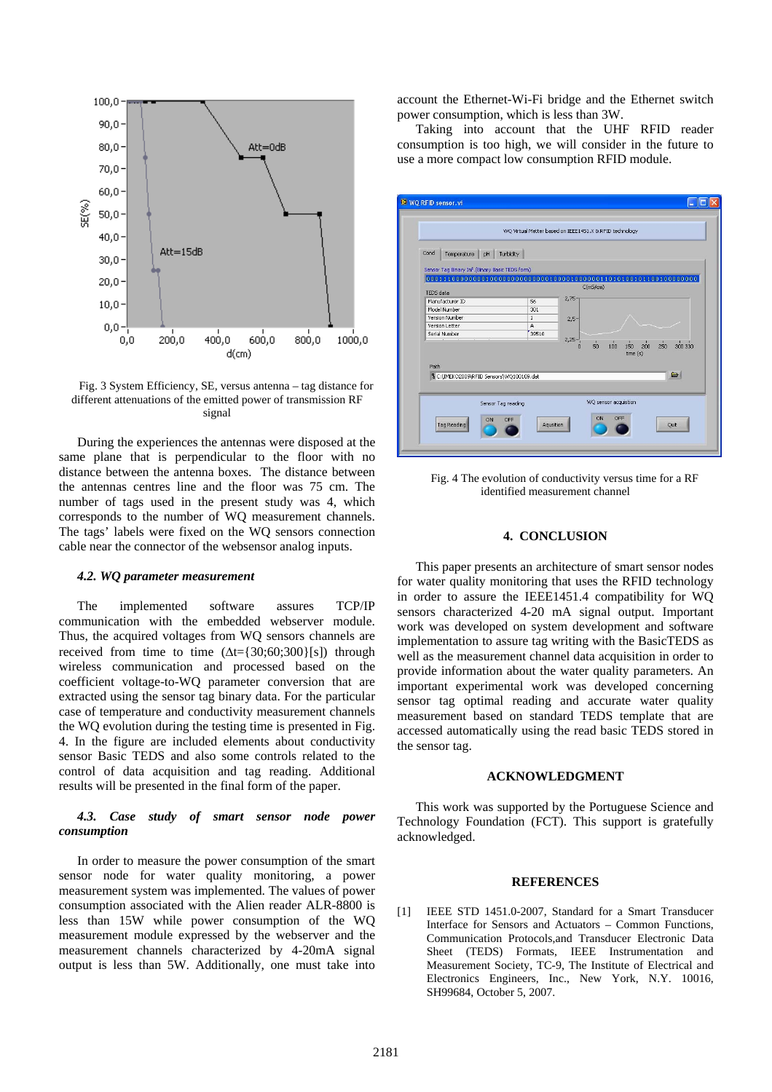

Fig. 3 System Efficiency, SE, versus antenna – tag distance for different attenuations of the emitted power of transmission RF signal

During the experiences the antennas were disposed at the same plane that is perpendicular to the floor with no distance between the antenna boxes. The distance between the antennas centres line and the floor was 75 cm. The number of tags used in the present study was 4, which corresponds to the number of WQ measurement channels. The tags' labels were fixed on the WQ sensors connection cable near the connector of the websensor analog inputs.

#### *4.2. WQ parameter measurement*

The implemented software assures TCP/IP communication with the embedded webserver module. Thus, the acquired voltages from WQ sensors channels are received from time to time  $(\Delta t = \{30, 60, 300\}$ [s]) through wireless communication and processed based on the coefficient voltage-to-WQ parameter conversion that are extracted using the sensor tag binary data. For the particular case of temperature and conductivity measurement channels the WQ evolution during the testing time is presented in Fig. 4. In the figure are included elements about conductivity sensor Basic TEDS and also some controls related to the control of data acquisition and tag reading. Additional results will be presented in the final form of the paper.

# *4.3. Case study of smart sensor node power consumption*

In order to measure the power consumption of the smart sensor node for water quality monitoring, a power measurement system was implemented. The values of power consumption associated with the Alien reader ALR-8800 is less than 15W while power consumption of the WQ measurement module expressed by the webserver and the measurement channels characterized by 4-20mA signal output is less than 5W. Additionally, one must take into account the Ethernet-Wi-Fi bridge and the Ethernet switch power consumption, which is less than 3W.

Taking into account that the UHF RFID reader consumption is too high, we will consider in the future to use a more compact low consumption RFID module.



Fig. 4 The evolution of conductivity versus time for a RF identified measurement channel

# **4. CONCLUSION**

This paper presents an architecture of smart sensor nodes for water quality monitoring that uses the RFID technology in order to assure the IEEE1451.4 compatibility for WQ sensors characterized 4-20 mA signal output. Important work was developed on system development and software implementation to assure tag writing with the BasicTEDS as well as the measurement channel data acquisition in order to provide information about the water quality parameters. An important experimental work was developed concerning sensor tag optimal reading and accurate water quality measurement based on standard TEDS template that are accessed automatically using the read basic TEDS stored in the sensor tag.

# **ACKNOWLEDGMENT**

This work was supported by the Portuguese Science and Technology Foundation (FCT). This support is gratefully acknowledged.

# **REFERENCES**

[1] IEEE STD 1451.0-2007, Standard for a Smart Transducer Interface for Sensors and Actuators – Common Functions, Communication Protocols,and Transducer Electronic Data Sheet (TEDS) Formats, IEEE Instrumentation and Measurement Society, TC-9, The Institute of Electrical and Electronics Engineers, Inc., New York, N.Y. 10016, SH99684, October 5, 2007.